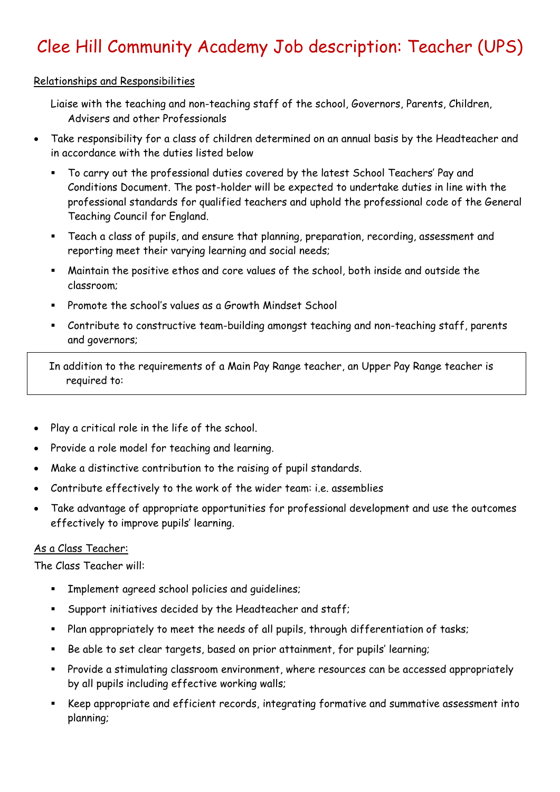# Clee Hill Community Academy Job description: Teacher (UPS)

#### Relationships and Responsibilities

- Liaise with the teaching and non-teaching staff of the school, Governors, Parents, Children, Advisers and other Professionals
- Take responsibility for a class of children determined on an annual basis by the Headteacher and in accordance with the duties listed below
	- To carry out the professional duties covered by the latest School Teachers' Pay and Conditions Document. The post-holder will be expected to undertake duties in line with the professional standards for qualified teachers and uphold the professional code of the General Teaching Council for England.
	- Teach a class of pupils, and ensure that planning, preparation, recording, assessment and reporting meet their varying learning and social needs;
	- Maintain the positive ethos and core values of the school, both inside and outside the classroom;
	- Promote the school's values as a Growth Mindset School
	- Contribute to constructive team-building amongst teaching and non-teaching staff, parents and governors;

In addition to the requirements of a Main Pay Range teacher, an Upper Pay Range teacher is required to:

- Play a critical role in the life of the school.
- Provide a role model for teaching and learning.
- Make a distinctive contribution to the raising of pupil standards.
- Contribute effectively to the work of the wider team: i.e. assemblies
- Take advantage of appropriate opportunities for professional development and use the outcomes effectively to improve pupils' learning.

#### As a Class Teacher:

The Class Teacher will:

- Implement agreed school policies and guidelines;
- Support initiatives decided by the Headteacher and staff;
- Plan appropriately to meet the needs of all pupils, through differentiation of tasks;
- Be able to set clear targets, based on prior attainment, for pupils' learning;
- Provide a stimulating classroom environment, where resources can be accessed appropriately by all pupils including effective working walls;
- Keep appropriate and efficient records, integrating formative and summative assessment into planning;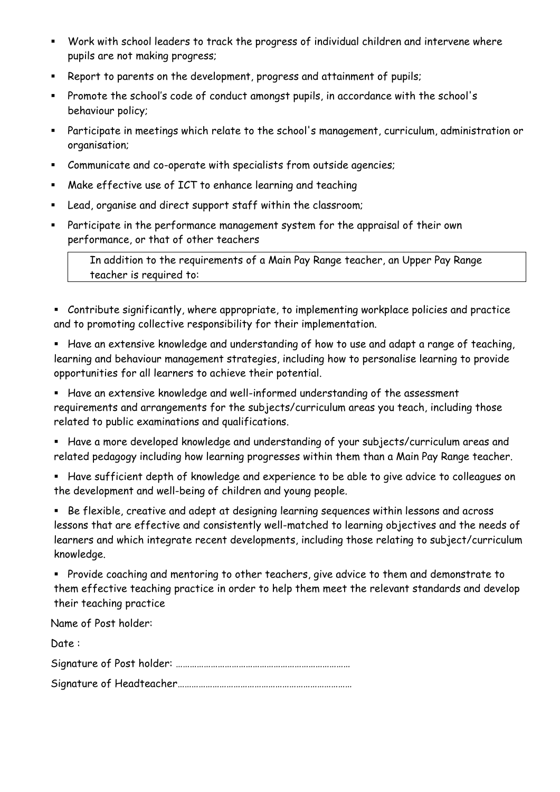- Work with school leaders to track the progress of individual children and intervene where pupils are not making progress;
- Report to parents on the development, progress and attainment of pupils;
- Promote the school's code of conduct amongst pupils, in accordance with the school's behaviour policy;
- Participate in meetings which relate to the school's management, curriculum, administration or organisation;
- Communicate and co-operate with specialists from outside agencies;
- Make effective use of ICT to enhance learning and teaching
- Lead, organise and direct support staff within the classroom;
- Participate in the performance management system for the appraisal of their own performance, or that of other teachers

In addition to the requirements of a Main Pay Range teacher, an Upper Pay Range teacher is required to:

▪ Contribute significantly, where appropriate, to implementing workplace policies and practice and to promoting collective responsibility for their implementation.

▪ Have an extensive knowledge and understanding of how to use and adapt a range of teaching, learning and behaviour management strategies, including how to personalise learning to provide opportunities for all learners to achieve their potential.

- Have an extensive knowledge and well-informed understanding of the assessment requirements and arrangements for the subjects/curriculum areas you teach, including those related to public examinations and qualifications.
- Have a more developed knowledge and understanding of your subjects/curriculum areas and related pedagogy including how learning progresses within them than a Main Pay Range teacher.
- Have sufficient depth of knowledge and experience to be able to give advice to colleagues on the development and well-being of children and young people.

▪ Be flexible, creative and adept at designing learning sequences within lessons and across lessons that are effective and consistently well-matched to learning objectives and the needs of learners and which integrate recent developments, including those relating to subject/curriculum knowledge.

▪ Provide coaching and mentoring to other teachers, give advice to them and demonstrate to them effective teaching practice in order to help them meet the relevant standards and develop their teaching practice

Name of Post holder:

Date : Signature of Post holder: ………………………………………………………………… Signature of Headteacher…………………………………………………………………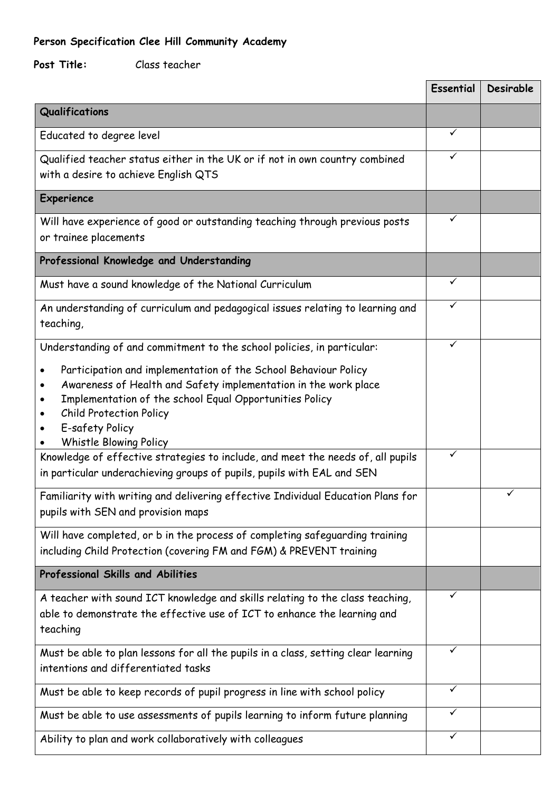## **Person Specification Clee Hill Community Academy**

### **Post Title:** Class teacher

|                                                                                                                                                                                                                                                                              | <b>Essential</b> | Desirable |
|------------------------------------------------------------------------------------------------------------------------------------------------------------------------------------------------------------------------------------------------------------------------------|------------------|-----------|
| Qualifications                                                                                                                                                                                                                                                               |                  |           |
| Educated to degree level                                                                                                                                                                                                                                                     | ✓                |           |
| Qualified teacher status either in the UK or if not in own country combined<br>with a desire to achieve English QTS                                                                                                                                                          |                  |           |
| Experience                                                                                                                                                                                                                                                                   |                  |           |
| Will have experience of good or outstanding teaching through previous posts<br>or trainee placements                                                                                                                                                                         | ✓                |           |
| Professional Knowledge and Understanding                                                                                                                                                                                                                                     |                  |           |
| Must have a sound knowledge of the National Curriculum                                                                                                                                                                                                                       |                  |           |
| An understanding of curriculum and pedagogical issues relating to learning and<br>teaching,                                                                                                                                                                                  | ✓                |           |
| Understanding of and commitment to the school policies, in particular:                                                                                                                                                                                                       | ✓                |           |
| Participation and implementation of the School Behaviour Policy<br>Awareness of Health and Safety implementation in the work place<br>Implementation of the school Equal Opportunities Policy<br><b>Child Protection Policy</b><br>E-safety Policy<br>Whistle Blowing Policy |                  |           |
| Knowledge of effective strategies to include, and meet the needs of, all pupils<br>in particular underachieving groups of pupils, pupils with EAL and SEN                                                                                                                    | ✓                |           |
| Familiarity with writing and delivering effective Individual Education Plans for<br>pupils with SEN and provision maps                                                                                                                                                       |                  |           |
| Will have completed, or b in the process of completing safeguarding training<br>including Child Protection (covering FM and FGM) & PREVENT training                                                                                                                          |                  |           |
| Professional Skills and Abilities                                                                                                                                                                                                                                            |                  |           |
| A teacher with sound ICT knowledge and skills relating to the class teaching,<br>able to demonstrate the effective use of ICT to enhance the learning and<br>teaching                                                                                                        | ✓                |           |
| Must be able to plan lessons for all the pupils in a class, setting clear learning<br>intentions and differentiated tasks                                                                                                                                                    | ✓                |           |
| Must be able to keep records of pupil progress in line with school policy                                                                                                                                                                                                    | ✓                |           |
| Must be able to use assessments of pupils learning to inform future planning                                                                                                                                                                                                 | ✓                |           |
| Ability to plan and work collaboratively with colleagues                                                                                                                                                                                                                     | ✓                |           |

Ē